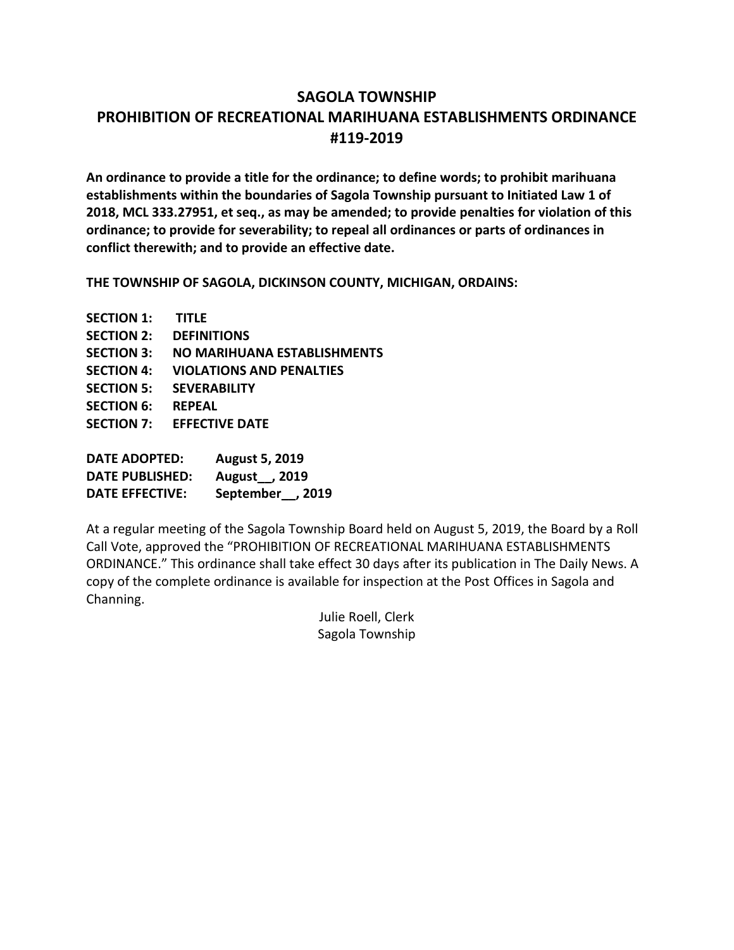# **SAGOLA TOWNSHIP PROHIBITION OF RECREATIONAL MARIHUANA ESTABLISHMENTS ORDINANCE #119-2019**

**An ordinance to provide a title for the ordinance; to define words; to prohibit marihuana establishments within the boundaries of Sagola Township pursuant to Initiated Law 1 of 2018, MCL 333.27951, et seq., as may be amended; to provide penalties for violation of this ordinance; to provide for severability; to repeal all ordinances or parts of ordinances in conflict therewith; and to provide an effective date.** 

**THE TOWNSHIP OF SAGOLA, DICKINSON COUNTY, MICHIGAN, ORDAINS:**

| <b>SECTION 1:</b> | <b>TITLE</b>                    |
|-------------------|---------------------------------|
| <b>SECTION 2:</b> | <b>DEFINITIONS</b>              |
| <b>SECTION 3:</b> | NO MARIHUANA ESTABLISHMENTS     |
| <b>SECTION 4:</b> | <b>VIOLATIONS AND PENALTIES</b> |
| <b>SECTION 5:</b> | <b>SEVERABILITY</b>             |
| <b>SECTION 6:</b> | <b>REPEAL</b>                   |
|                   | SECTION 7: EFFECTIVE DATE       |
|                   |                                 |

| <b>DATE ADOPTED:</b>   | <b>August 5, 2019</b>       |
|------------------------|-----------------------------|
| <b>DATE PUBLISHED:</b> | August <sub>1</sub> , 2019  |
| <b>DATE EFFECTIVE:</b> | September <sub>, 2019</sub> |

At a regular meeting of the Sagola Township Board held on August 5, 2019, the Board by a Roll Call Vote, approved the "PROHIBITION OF RECREATIONAL MARIHUANA ESTABLISHMENTS ORDINANCE." This ordinance shall take effect 30 days after its publication in The Daily News. A copy of the complete ordinance is available for inspection at the Post Offices in Sagola and Channing.

> Julie Roell, Clerk Sagola Township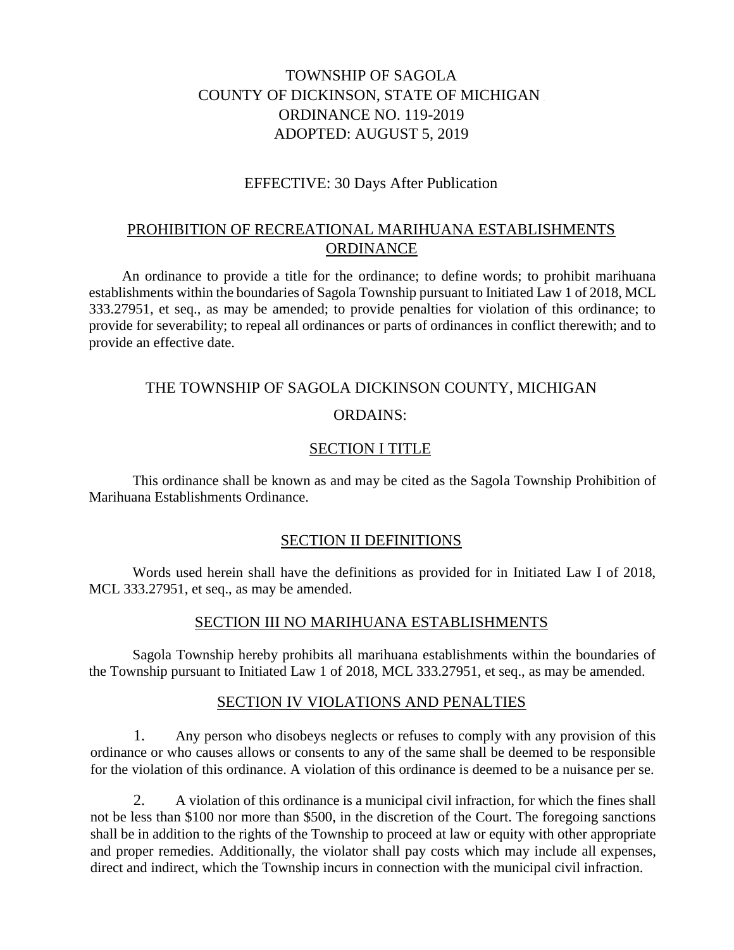# TOWNSHIP OF SAGOLA COUNTY OF DICKINSON, STATE OF MICHIGAN ORDINANCE NO. 119-2019 ADOPTED: AUGUST 5, 2019

## EFFECTIVE: 30 Days After Publication

# PROHIBITION OF RECREATIONAL MARIHUANA ESTABLISHMENTS ORDINANCE

An ordinance to provide a title for the ordinance; to define words; to prohibit marihuana establishments within the boundaries of Sagola Township pursuant to Initiated Law 1 of 2018, MCL 333.27951, et seq., as may be amended; to provide penalties for violation of this ordinance; to provide for severability; to repeal all ordinances or parts of ordinances in conflict therewith; and to provide an effective date.

# THE TOWNSHIP OF SAGOLA DICKINSON COUNTY, MICHIGAN

### ORDAINS:

### SECTION I TITLE

This ordinance shall be known as and may be cited as the Sagola Township Prohibition of Marihuana Establishments Ordinance.

#### SECTION II DEFINITIONS

Words used herein shall have the definitions as provided for in Initiated Law I of 2018, MCL 333.27951, et seq., as may be amended.

#### SECTION III NO MARIHUANA ESTABLISHMENTS

Sagola Township hereby prohibits all marihuana establishments within the boundaries of the Township pursuant to Initiated Law 1 of 2018, MCL 333.27951, et seq., as may be amended.

#### SECTION IV VIOLATIONS AND PENALTIES

1. Any person who disobeys neglects or refuses to comply with any provision of this ordinance or who causes allows or consents to any of the same shall be deemed to be responsible for the violation of this ordinance. A violation of this ordinance is deemed to be a nuisance per se.

2. A violation of this ordinance is a municipal civil infraction, for which the fines shall not be less than \$100 nor more than \$500, in the discretion of the Court. The foregoing sanctions shall be in addition to the rights of the Township to proceed at law or equity with other appropriate and proper remedies. Additionally, the violator shall pay costs which may include all expenses, direct and indirect, which the Township incurs in connection with the municipal civil infraction.